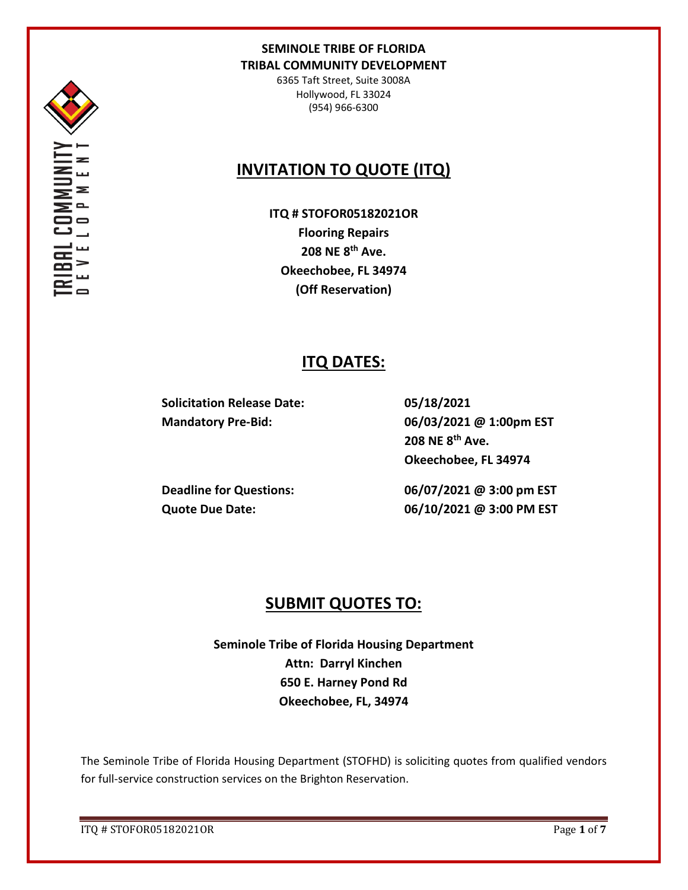

6365 Taft Street, Suite 3008A Hollywood, FL 33024 (954) 966-6300

# **INVITATION TO QUOTE (ITQ)**

**ITQ # STOFOR05182021OR Flooring Repairs 208 NE 8th Ave. Okeechobee, FL 34974 (Off Reservation)**

# **ITQ DATES:**

**Solicitation Release Date: 05/18/2021**

**Mandatory Pre-Bid: 06/03/2021 @ 1:00pm EST 208 NE 8th Ave. Okeechobee, FL 34974**

**Deadline for Questions: 06/07/2021 @ 3:00 pm EST Quote Due Date: 06/10/2021 @ 3:00 PM EST**

# **SUBMIT QUOTES TO:**

**Seminole Tribe of Florida Housing Department Attn: Darryl Kinchen 650 E. Harney Pond Rd Okeechobee, FL, 34974**

The Seminole Tribe of Florida Housing Department (STOFHD) is soliciting quotes from qualified vendors for full-service construction services on the Brighton Reservation.

ITQ # STOFOR05182021OR Page **1** of **7**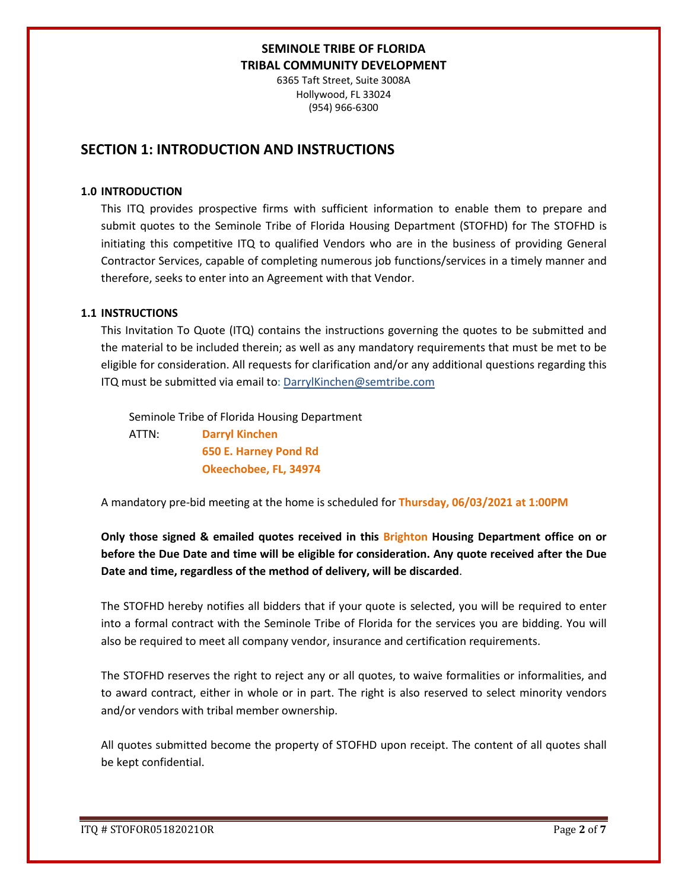6365 Taft Street, Suite 3008A Hollywood, FL 33024 (954) 966-6300

# **SECTION 1: INTRODUCTION AND INSTRUCTIONS**

#### **1.0 INTRODUCTION**

This ITQ provides prospective firms with sufficient information to enable them to prepare and submit quotes to the Seminole Tribe of Florida Housing Department (STOFHD) for The STOFHD is initiating this competitive ITQ to qualified Vendors who are in the business of providing General Contractor Services, capable of completing numerous job functions/services in a timely manner and therefore, seeks to enter into an Agreement with that Vendor.

#### **1.1 INSTRUCTIONS**

This Invitation To Quote (ITQ) contains the instructions governing the quotes to be submitted and the material to be included therein; as well as any mandatory requirements that must be met to be eligible for consideration. All requests for clarification and/or any additional questions regarding this ITQ must be submitted via email to: DarrylKinchen@semtribe.com

 Seminole Tribe of Florida Housing Department ATTN: **Darryl Kinchen**

 **650 E. Harney Pond Rd Okeechobee, FL, 34974**

A mandatory pre-bid meeting at the home is scheduled for **Thursday, 06/03/2021 at 1:00PM** 

**Only those signed & emailed quotes received in this Brighton Housing Department office on or before the Due Date and time will be eligible for consideration. Any quote received after the Due Date and time, regardless of the method of delivery, will be discarded**.

The STOFHD hereby notifies all bidders that if your quote is selected, you will be required to enter into a formal contract with the Seminole Tribe of Florida for the services you are bidding. You will also be required to meet all company vendor, insurance and certification requirements.

The STOFHD reserves the right to reject any or all quotes, to waive formalities or informalities, and to award contract, either in whole or in part. The right is also reserved to select minority vendors and/or vendors with tribal member ownership.

All quotes submitted become the property of STOFHD upon receipt. The content of all quotes shall be kept confidential.

ITQ # STOFOR05182021OR Page **2** of **7**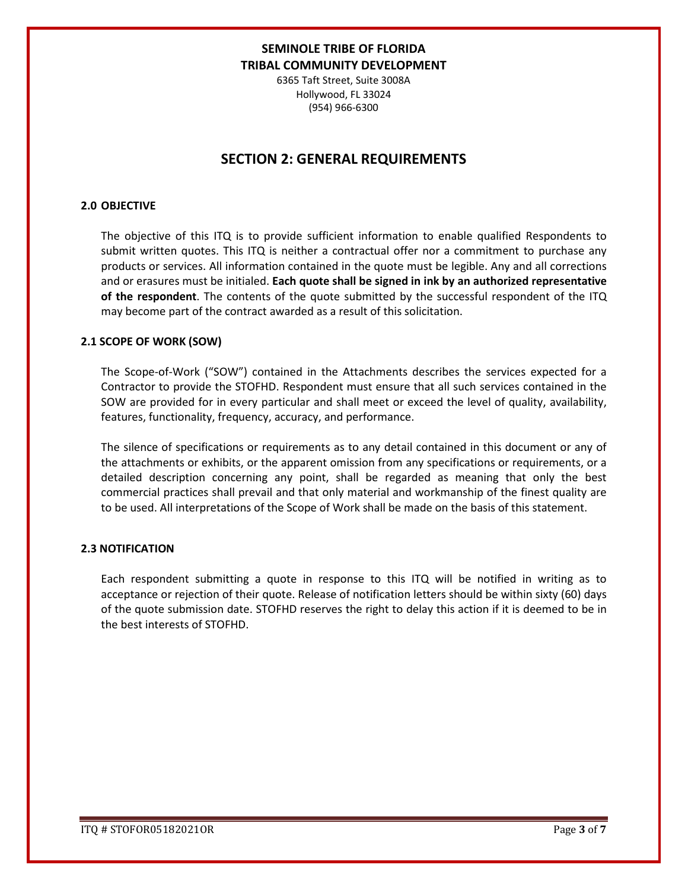6365 Taft Street, Suite 3008A Hollywood, FL 33024 (954) 966-6300

# **SECTION 2: GENERAL REQUIREMENTS**

### **2.0 OBJECTIVE**

The objective of this ITQ is to provide sufficient information to enable qualified Respondents to submit written quotes. This ITQ is neither a contractual offer nor a commitment to purchase any products or services. All information contained in the quote must be legible. Any and all corrections and or erasures must be initialed. **Each quote shall be signed in ink by an authorized representative of the respondent**. The contents of the quote submitted by the successful respondent of the ITQ may become part of the contract awarded as a result of this solicitation.

#### **2.1 SCOPE OF WORK (SOW)**

The Scope-of-Work ("SOW") contained in the Attachments describes the services expected for a Contractor to provide the STOFHD. Respondent must ensure that all such services contained in the SOW are provided for in every particular and shall meet or exceed the level of quality, availability, features, functionality, frequency, accuracy, and performance.

The silence of specifications or requirements as to any detail contained in this document or any of the attachments or exhibits, or the apparent omission from any specifications or requirements, or a detailed description concerning any point, shall be regarded as meaning that only the best commercial practices shall prevail and that only material and workmanship of the finest quality are to be used. All interpretations of the Scope of Work shall be made on the basis of this statement.

#### **2.3 NOTIFICATION**

Each respondent submitting a quote in response to this ITQ will be notified in writing as to acceptance or rejection of their quote. Release of notification letters should be within sixty (60) days of the quote submission date. STOFHD reserves the right to delay this action if it is deemed to be in the best interests of STOFHD.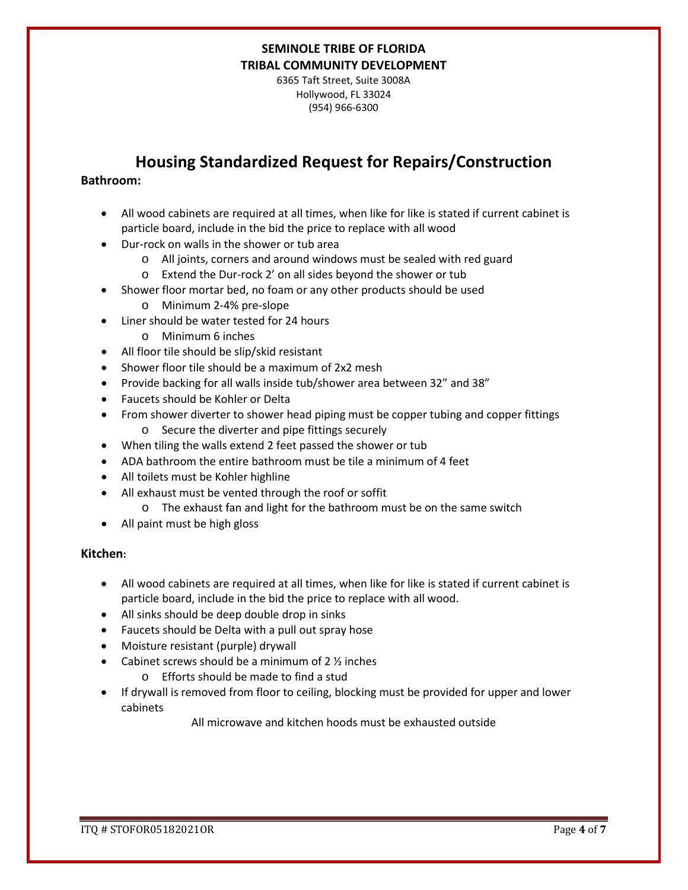6365 Taft Street, Suite 3008A Hollywood, FL 33024 (954) 966-6300

# **Housing Standardized Request for Repairs/Construction**

### **Bathroom:**

- All wood cabinets are required at all times, when like for like is stated if current cabinet is particle board, include in the bid the price to replace with all wood
- Dur-rock on walls in the shower or tub area
	- o All joints, corners and around windows must be sealed with red guard
	- o Extend the Dur-rock 2' on all sides beyond the shower or tub
- Shower floor mortar bed, no foam or any other products should be used
	- o Minimum 2-4% pre-slope
- Liner should be water tested for 24 hours
	- o Minimum 6 inches
- All floor tile should be slip/skid resistant
- Shower floor tile should be a maximum of 2x2 mesh
- Provide backing for all walls inside tub/shower area between 32" and 38"
- Faucets should be Kohler or Delta
- From shower diverter to shower head piping must be copper tubing and copper fittings o Secure the diverter and pipe fittings securely
- When tiling the walls extend 2 feet passed the shower or tub
- ADA bathroom the entire bathroom must be tile a minimum of 4 feet
- All toilets must be Kohler highline
- All exhaust must be vented through the roof or soffit
	- o The exhaust fan and light for the bathroom must be on the same switch
- All paint must be high gloss

### **Kitchen:**

- All wood cabinets are required at all times, when like for like is stated if current cabinet is particle board, include in the bid the price to replace with all wood.
- All sinks should be deep double drop in sinks
- Faucets should be Delta with a pull out spray hose
- Moisture resistant (purple) drywall
- Cabinet screws should be a minimum of  $2 \frac{1}{2}$  inches
	- o Efforts should be made to find a stud
- If drywall is removed from floor to ceiling, blocking must be provided for upper and lower cabinets

All microwave and kitchen hoods must be exhausted outside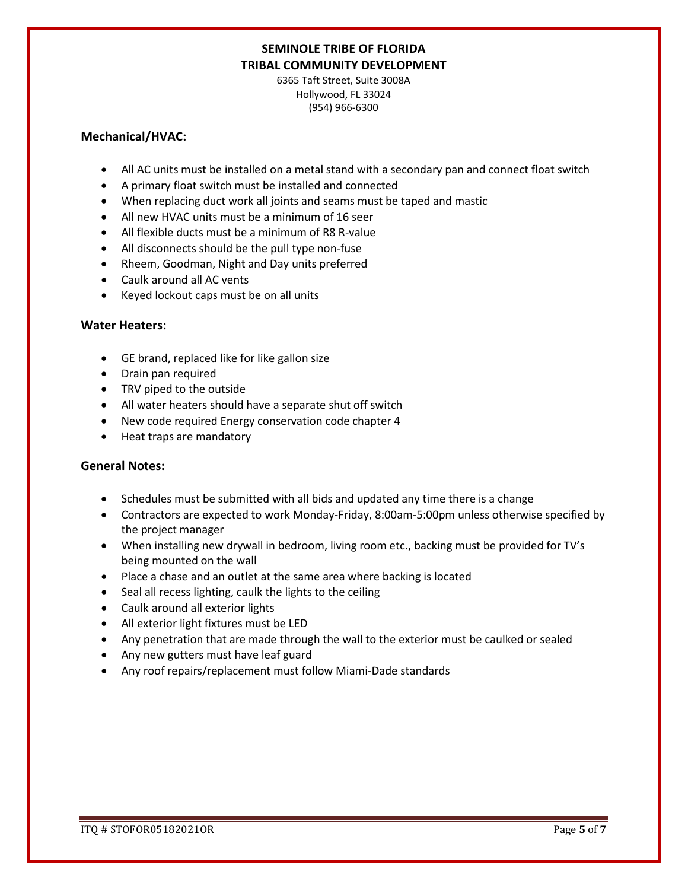6365 Taft Street, Suite 3008A Hollywood, FL 33024 (954) 966-6300

### **Mechanical/HVAC:**

- All AC units must be installed on a metal stand with a secondary pan and connect float switch
- A primary float switch must be installed and connected
- When replacing duct work all joints and seams must be taped and mastic
- All new HVAC units must be a minimum of 16 seer
- All flexible ducts must be a minimum of R8 R-value
- All disconnects should be the pull type non-fuse
- Rheem, Goodman, Night and Day units preferred
- Caulk around all AC vents
- Keyed lockout caps must be on all units

### **Water Heaters:**

- GE brand, replaced like for like gallon size
- Drain pan required
- TRV piped to the outside
- All water heaters should have a separate shut off switch
- New code required Energy conservation code chapter 4
- Heat traps are mandatory

### **General Notes:**

- Schedules must be submitted with all bids and updated any time there is a change
- Contractors are expected to work Monday-Friday, 8:00am-5:00pm unless otherwise specified by the project manager
- When installing new drywall in bedroom, living room etc., backing must be provided for TV's being mounted on the wall
- Place a chase and an outlet at the same area where backing is located
- Seal all recess lighting, caulk the lights to the ceiling
- Caulk around all exterior lights
- All exterior light fixtures must be LED
- Any penetration that are made through the wall to the exterior must be caulked or sealed
- Any new gutters must have leaf guard
- Any roof repairs/replacement must follow Miami-Dade standards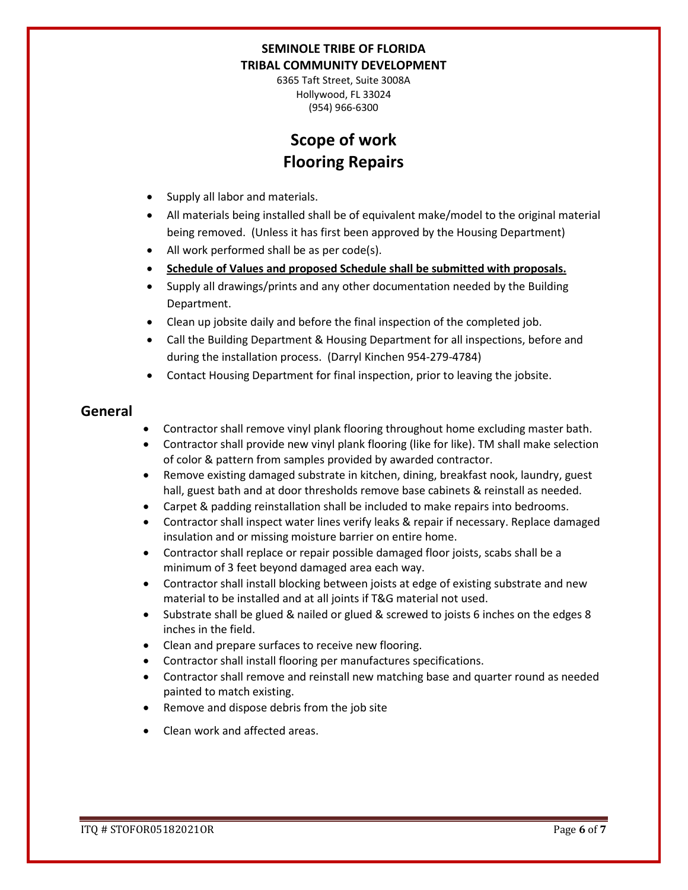6365 Taft Street, Suite 3008A Hollywood, FL 33024 (954) 966-6300

# **Scope of work Flooring Repairs**

- Supply all labor and materials.
- All materials being installed shall be of equivalent make/model to the original material being removed. (Unless it has first been approved by the Housing Department)
- All work performed shall be as per code(s).
- **Schedule of Values and proposed Schedule shall be submitted with proposals.**
- Supply all drawings/prints and any other documentation needed by the Building Department.
- Clean up jobsite daily and before the final inspection of the completed job.
- Call the Building Department & Housing Department for all inspections, before and during the installation process. (Darryl Kinchen 954-279-4784)
- Contact Housing Department for final inspection, prior to leaving the jobsite.

### **General**

- Contractor shall remove vinyl plank flooring throughout home excluding master bath.
- Contractor shall provide new vinyl plank flooring (like for like). TM shall make selection of color & pattern from samples provided by awarded contractor.
- Remove existing damaged substrate in kitchen, dining, breakfast nook, laundry, guest hall, guest bath and at door thresholds remove base cabinets & reinstall as needed.
- Carpet & padding reinstallation shall be included to make repairs into bedrooms.
- Contractor shall inspect water lines verify leaks & repair if necessary. Replace damaged insulation and or missing moisture barrier on entire home.
- Contractor shall replace or repair possible damaged floor joists, scabs shall be a minimum of 3 feet beyond damaged area each way.
- Contractor shall install blocking between joists at edge of existing substrate and new material to be installed and at all joints if T&G material not used.
- Substrate shall be glued & nailed or glued & screwed to joists 6 inches on the edges 8 inches in the field.
- Clean and prepare surfaces to receive new flooring.
- Contractor shall install flooring per manufactures specifications.
- Contractor shall remove and reinstall new matching base and quarter round as needed painted to match existing.
- Remove and dispose debris from the job site
- Clean work and affected areas.